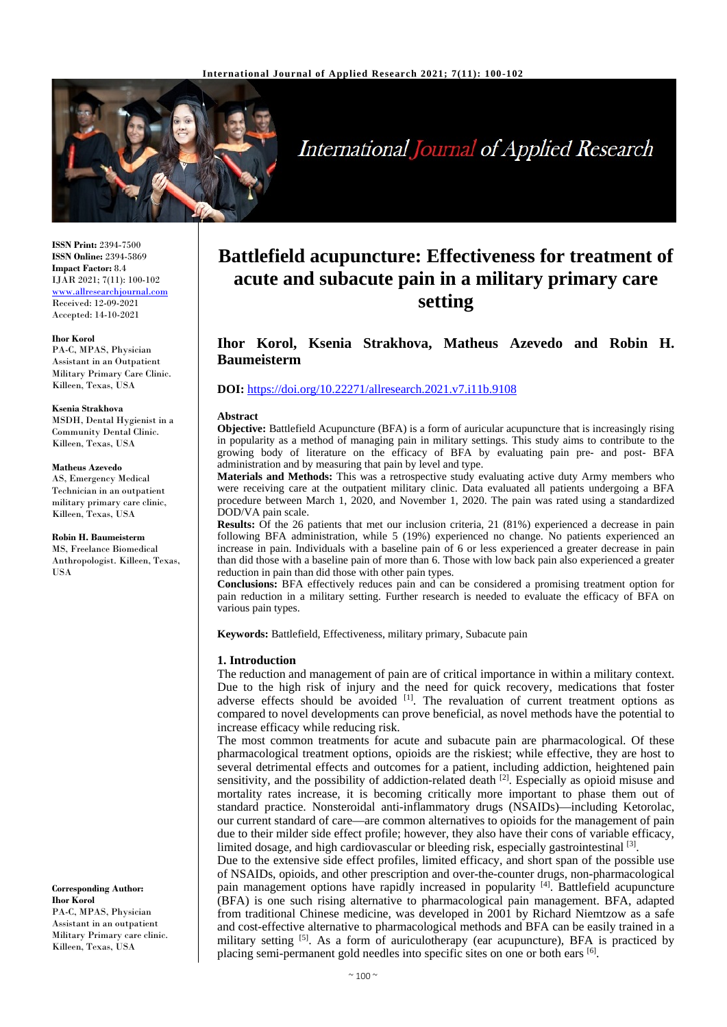

# **International Journal of Applied Research**

**ISSN Print:** 2394-7500 **ISSN Online:** 2394-5869 **Impact Factor:** 8.4 IJAR 2021; 7(11): 100-102 www.allresearchjournal.com Received: 12-09-2021 Accepted: 14-10-2021

#### **Ihor Korol**

PA-C, MPAS, Physician Assistant in an Outpatient Military Primary Care Clinic. Killeen, Texas, USA

#### **Ksenia Strakhova**

MSDH, Dental Hygienist in a Community Dental Clinic. Killeen, Texas, USA

#### **Matheus Azevedo**

AS, Emergency Medical Technician in an outpatient military primary care clinic, Killeen, Texas, USA

## **Robin H. Baumeisterm**

MS, Freelance Biomedical Anthropologist. Killeen, Texas, **TISA** 

**Corresponding Author: Ihor Korol**  PA-C, MPAS, Physician Assistant in an outpatient Military Primary care clinic. Killeen, Texas, USA

## **Battlefield acupuncture: Effectiveness for treatment of acute and subacute pain in a military primary care setting**

## **Ihor Korol, Ksenia Strakhova, Matheus Azevedo and Robin H. Baumeisterm**

## **DOI:** <https://doi.org/10.22271/allresearch.2021.v7.i11b.9108>

#### **Abstract**

**Objective:** Battlefield Acupuncture (BFA) is a form of auricular acupuncture that is increasingly rising in popularity as a method of managing pain in military settings. This study aims to contribute to the growing body of literature on the efficacy of BFA by evaluating pain pre- and post- BFA administration and by measuring that pain by level and type.

**Materials and Methods:** This was a retrospective study evaluating active duty Army members who were receiving care at the outpatient military clinic. Data evaluated all patients undergoing a BFA procedure between March 1, 2020, and November 1, 2020. The pain was rated using a standardized DOD/VA pain scale.

**Results:** Of the 26 patients that met our inclusion criteria, 21 (81%) experienced a decrease in pain following BFA administration, while 5 (19%) experienced no change. No patients experienced an increase in pain. Individuals with a baseline pain of 6 or less experienced a greater decrease in pain than did those with a baseline pain of more than 6. Those with low back pain also experienced a greater reduction in pain than did those with other pain types.

**Conclusions:** BFA effectively reduces pain and can be considered a promising treatment option for pain reduction in a military setting. Further research is needed to evaluate the efficacy of BFA on various pain types.

**Keywords:** Battlefield, Effectiveness, military primary, Subacute pain

#### **1. Introduction**

The reduction and management of pain are of critical importance in within a military context. Due to the high risk of injury and the need for quick recovery, medications that foster adverse effects should be avoided [1]. The revaluation of current treatment options as compared to novel developments can prove beneficial, as novel methods have the potential to increase efficacy while reducing risk.

The most common treatments for acute and subacute pain are pharmacological. Of these pharmacological treatment options, opioids are the riskiest; while effective, they are host to several detrimental effects and outcomes for a patient, including addiction, heightened pain sensitivity, and the possibility of addiction-related death <sup>[2]</sup>. Especially as opioid misuse and mortality rates increase, it is becoming critically more important to phase them out of standard practice. Nonsteroidal anti-inflammatory drugs (NSAIDs)—including Ketorolac, our current standard of care—are common alternatives to opioids for the management of pain due to their milder side effect profile; however, they also have their cons of variable efficacy, limited dosage, and high cardiovascular or bleeding risk, especially gastrointestinal [3].

Due to the extensive side effect profiles, limited efficacy, and short span of the possible use of NSAIDs, opioids, and other prescription and over-the-counter drugs, non-pharmacological pain management options have rapidly increased in popularity [4]. Battlefield acupuncture (BFA) is one such rising alternative to pharmacological pain management. BFA, adapted from traditional Chinese medicine, was developed in 2001 by Richard Niemtzow as a safe and cost-effective alternative to pharmacological methods and BFA can be easily trained in a military setting <sup>[5]</sup>. As a form of auriculotherapy (ear acupuncture), BFA is practiced by placing semi-permanent gold needles into specific sites on one or both ears [6].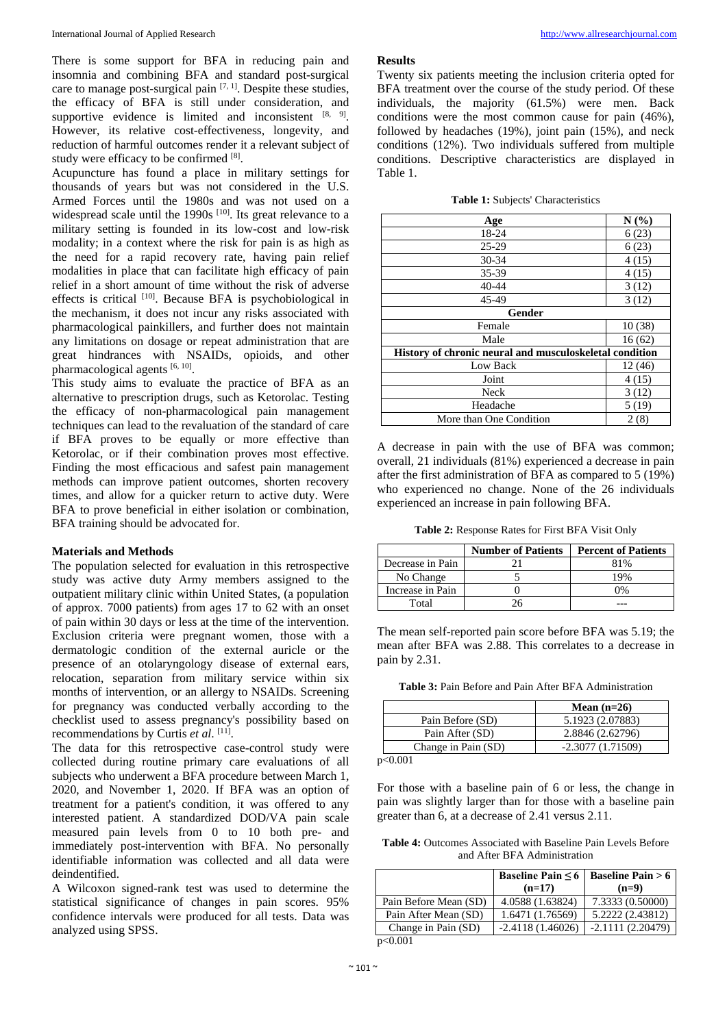There is some support for BFA in reducing pain and insomnia and combining BFA and standard post-surgical care to manage post-surgical pain  $[7, 1]$ . Despite these studies, the efficacy of BFA is still under consideration, and supportive evidence is limited and inconsistent  $[8, 9]$ . However, its relative cost-effectiveness, longevity, and reduction of harmful outcomes render it a relevant subject of study were efficacy to be confirmed [8].

Acupuncture has found a place in military settings for thousands of years but was not considered in the U.S. Armed Forces until the 1980s and was not used on a widespread scale until the 1990s <sup>[10]</sup>. Its great relevance to a military setting is founded in its low-cost and low-risk modality; in a context where the risk for pain is as high as the need for a rapid recovery rate, having pain relief modalities in place that can facilitate high efficacy of pain relief in a short amount of time without the risk of adverse effects is critical [10]. Because BFA is psychobiological in the mechanism, it does not incur any risks associated with pharmacological painkillers, and further does not maintain any limitations on dosage or repeat administration that are great hindrances with NSAIDs, opioids, and other pharmacological agents [6, 10].

This study aims to evaluate the practice of BFA as an alternative to prescription drugs, such as Ketorolac. Testing the efficacy of non-pharmacological pain management techniques can lead to the revaluation of the standard of care if BFA proves to be equally or more effective than Ketorolac, or if their combination proves most effective. Finding the most efficacious and safest pain management methods can improve patient outcomes, shorten recovery times, and allow for a quicker return to active duty. Were BFA to prove beneficial in either isolation or combination, BFA training should be advocated for.

## **Materials and Methods**

The population selected for evaluation in this retrospective study was active duty Army members assigned to the outpatient military clinic within United States, (a population of approx. 7000 patients) from ages 17 to 62 with an onset of pain within 30 days or less at the time of the intervention. Exclusion criteria were pregnant women, those with a dermatologic condition of the external auricle or the presence of an otolaryngology disease of external ears, relocation, separation from military service within six months of intervention, or an allergy to NSAIDs. Screening for pregnancy was conducted verbally according to the checklist used to assess pregnancy's possibility based on recommendations by Curtis *et al*. [11].

The data for this retrospective case-control study were collected during routine primary care evaluations of all subjects who underwent a BFA procedure between March 1, 2020, and November 1, 2020. If BFA was an option of treatment for a patient's condition, it was offered to any interested patient. A standardized DOD/VA pain scale measured pain levels from 0 to 10 both pre- and immediately post-intervention with BFA. No personally identifiable information was collected and all data were deindentified.

A Wilcoxon signed-rank test was used to determine the statistical significance of changes in pain scores. 95% confidence intervals were produced for all tests. Data was analyzed using SPSS.

#### **Results**

Twenty six patients meeting the inclusion criteria opted for BFA treatment over the course of the study period. Of these individuals, the majority (61.5%) were men. Back conditions were the most common cause for pain (46%), followed by headaches (19%), joint pain (15%), and neck conditions (12%). Two individuals suffered from multiple conditions. Descriptive characteristics are displayed in Table 1.

|  |  | Table 1: Subjects' Characteristics |
|--|--|------------------------------------|
|--|--|------------------------------------|

| Age                                                     | N(%)    |  |
|---------------------------------------------------------|---------|--|
| 18-24                                                   | 6(23)   |  |
| $25 - 29$                                               | 6(23)   |  |
| $30 - 34$                                               | 4(15)   |  |
| 35-39                                                   | 4(15)   |  |
| $40 - 44$                                               | 3(12)   |  |
| 45-49                                                   | 3(12)   |  |
| Gender                                                  |         |  |
| Female                                                  | 10(38)  |  |
| Male                                                    | 16(62)  |  |
| History of chronic neural and musculoskeletal condition |         |  |
| Low Back                                                | 12 (46) |  |
| Joint                                                   | 4(15)   |  |
| Neck                                                    | 3(12)   |  |
| Headache                                                | 5(19)   |  |
| More than One Condition                                 | 2(8)    |  |

A decrease in pain with the use of BFA was common; overall, 21 individuals (81%) experienced a decrease in pain after the first administration of BFA as compared to 5 (19%) who experienced no change. None of the 26 individuals experienced an increase in pain following BFA.

**Table 2:** Response Rates for First BFA Visit Only

|                  | <b>Number of Patients</b> | <b>Percent of Patients</b> |
|------------------|---------------------------|----------------------------|
| Decrease in Pain |                           | 81%                        |
| No Change        |                           |                            |
| Increase in Pain |                           | $^{\prime}$ )%             |
| Total            |                           |                            |

The mean self-reported pain score before BFA was 5.19; the mean after BFA was 2.88. This correlates to a decrease in pain by 2.31.

**Table 3:** Pain Before and Pain After BFA Administration

|                     | Mean $(n=26)$      |
|---------------------|--------------------|
| Pain Before (SD)    | 5.1923 (2.07883)   |
| Pain After (SD)     | 2.8846 (2.62796)   |
| Change in Pain (SD) | $-2.3077(1.71509)$ |

p<0.001

For those with a baseline pain of 6 or less, the change in pain was slightly larger than for those with a baseline pain greater than 6, at a decrease of 2.41 versus 2.11.

**Table 4:** Outcomes Associated with Baseline Pain Levels Before and After BFA Administration

|                       | Baseline Pain $\leq 6$<br>$(n=17)$ | <b>Baseline Pain &gt; 6</b><br>$(n=9)$ |
|-----------------------|------------------------------------|----------------------------------------|
| Pain Before Mean (SD) | 4.0588 (1.63824)                   | 7.3333 (0.50000)                       |
| Pain After Mean (SD)  | 1.6471 (1.76569)                   | 5.2222 (2.43812)                       |
| Change in Pain (SD)   | $-2.4118(1.46026)$                 | $-2.1111(2.20479)$                     |
| p<0.001               |                                    |                                        |